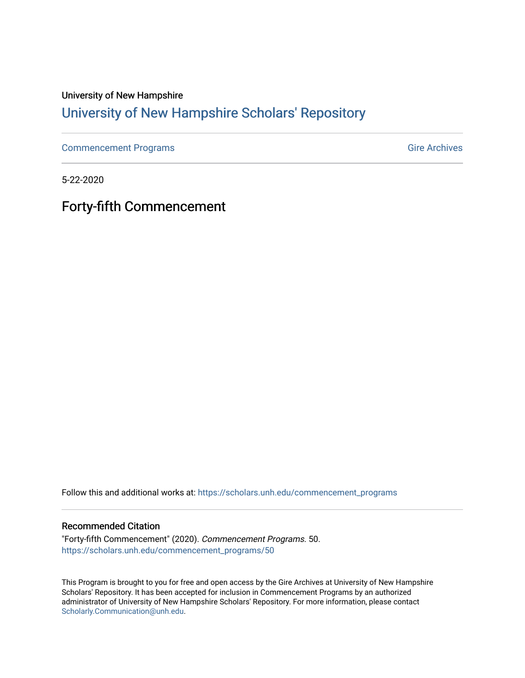### University of New Hampshire [University of New Hampshire Scholars' Repository](https://scholars.unh.edu/)

[Commencement Programs](https://scholars.unh.edu/commencement_programs) Gire Archives

5-22-2020

Forty-fifth Commencement

Follow this and additional works at: [https://scholars.unh.edu/commencement\\_programs](https://scholars.unh.edu/commencement_programs?utm_source=scholars.unh.edu%2Fcommencement_programs%2F50&utm_medium=PDF&utm_campaign=PDFCoverPages) 

#### Recommended Citation

"Forty-fifth Commencement" (2020). Commencement Programs. 50. [https://scholars.unh.edu/commencement\\_programs/50](https://scholars.unh.edu/commencement_programs/50?utm_source=scholars.unh.edu%2Fcommencement_programs%2F50&utm_medium=PDF&utm_campaign=PDFCoverPages)

This Program is brought to you for free and open access by the Gire Archives at University of New Hampshire Scholars' Repository. It has been accepted for inclusion in Commencement Programs by an authorized administrator of University of New Hampshire Scholars' Repository. For more information, please contact [Scholarly.Communication@unh.edu](mailto:Scholarly.Communication@unh.edu).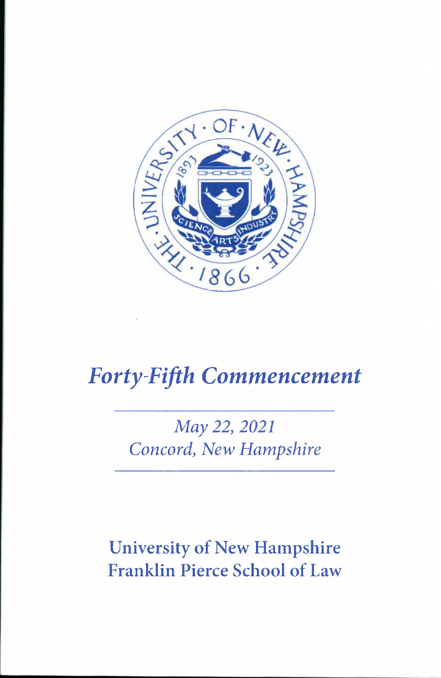

# *Forty-Fifth Commencement*

# *May 22, 2021 Concord, New Hampshire*

# University of New Hampshire Franklin Pierce School of Law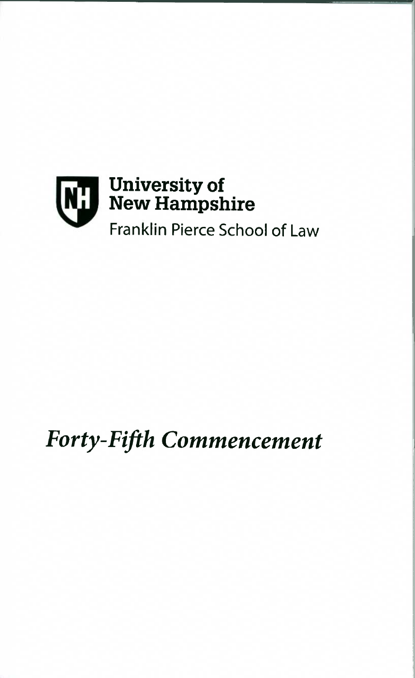

# *Forty-Fifth Commencement*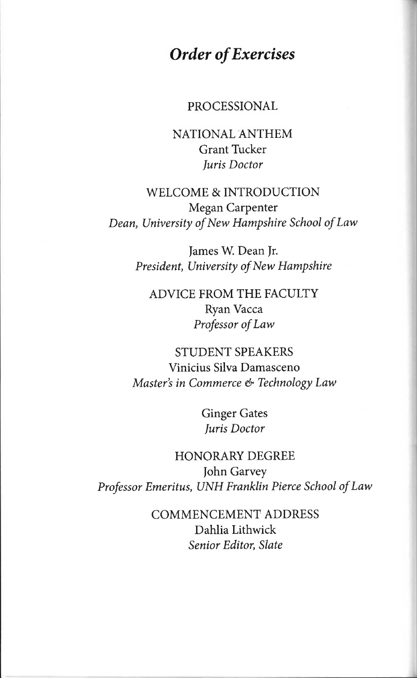### *Order of Exercises*

#### PROCESSIONAL

NATIONAL ANTHEM Grant Tucker *Juris Doctor* 

WELCOME & INTRODUCTION Megan Carpenter *Dean, University of New Hampshire School of Law* 

> James W. Dean Jr. *President, University of New Hampshire*

ADVICE FROM THE FACULTY Ryan Vacca *Professor of Law* 

STUDENT SPEAKERS Vinicius Silva Damasceno *Master's in Commerce & Technology Law* 

> Ginger Gates *Juris Doctor*

HONORARY DEGREE John Garvey *Professor Emeritus, UNH Franklin Pierce School of Law* 

> COMMENCEMENT ADDRESS Dahlia Lithwick *Senior Editor, Slate*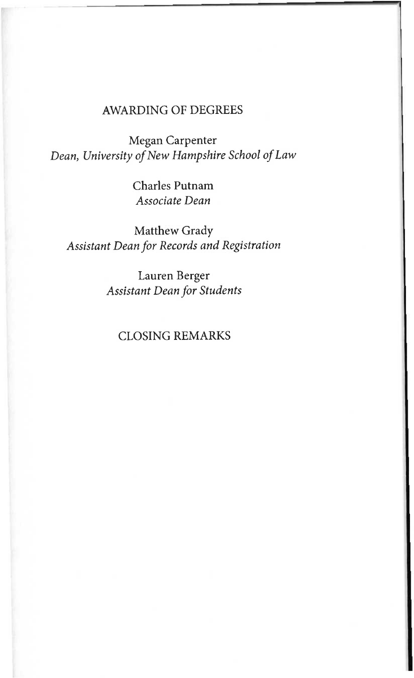#### AWARDING OF DEGREES

Megan Carpenter *Dean, University of New Hampshire School of Law* 

> Charles Putnam *Associate Dean*

Matthew Grady *Assistant Dean for Records and Registration* 

> Lauren Berger *Assistant Dean for Students*

#### CLOSING REMARKS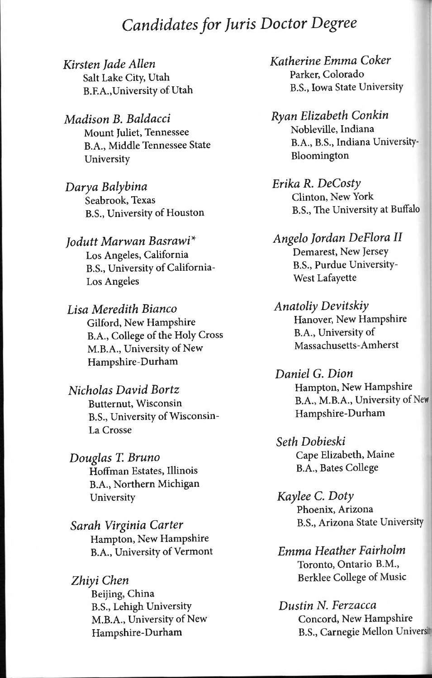### *Candidates for Juris Doctor Degree*

*Kirsten Jade Allen*  Salt Lake City, Utah B.E A.,University of Utah

*Madison B. Baldacci*  Mount Juliet, Tennessee B.A., Middle Tennessee State University

*Darya Balybina*  Seabrook, Texas B.S., University of Houston

*Jodutt Marwan Basrawi\**  Los Angeles, California B.S., University of California-Los Angeles

*Lisa Meredith Bianco*  Gilford, New Hampshire B.A., College of the Holy Cross M.B.A., University of New Hampshire-Durham

*Nicholas David Bortz*  Butternut, Wisconsin B.S., University of Wisconsin-La Crosse

*Douglas T. Bruno*  Hoffman Estates, Illinois B.A., Northern Michigan University

*Sarah Virginia Carter*  Hampton, New Hampshire B.A., University of Vermont

*Zhiyi Chen*  Beijing, China B.S., Lehigh University M.B.A., University of New Hampshire-Durham

*Katherine Emma Coker*  Parker, Colorado B.S., Iowa State University

*Ryan Elizabeth Conkin*  Nobleville, Indiana B.A., B.S., Indiana University-Bloomington

*Erika R. DeCosty*  Clinton, New York B.S., The University at Buffalo

*Angelo Jordan DeFlora II*  Demarest, New Jersey B.S., Purdue University-West Lafayette

*Anatoliy Devitskiy*  Hanover, New Hampshire B.A., University of Massachusetts-Amherst

*Daniel G. Dion*  Hampton, New Hampshire B.A., M.B.A., University of New Hampshire-Durham

*Seth Dobieski*  Cape Elizabeth, Maine B.A., Bates College

*Kaylee C. Doty*  Phoenix, Arizona B.S., Arizona State University

*Emma Heather Fairholm*  Toronto, Ontario B.M., Berklee College of Music

*Dustin N. Ferzacca*  Concord, New Hampshire B.S., Carnegie Mellon Univers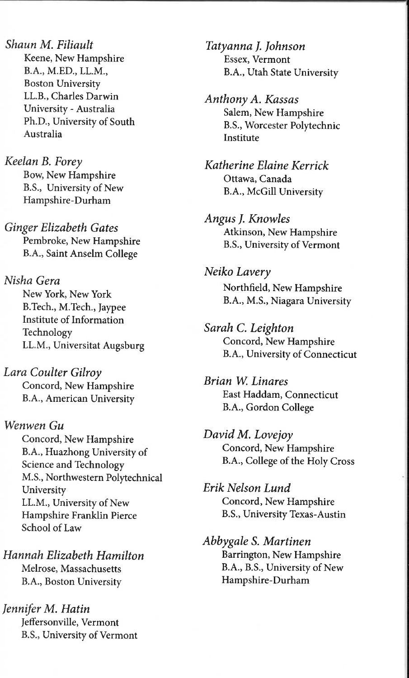*Shaun M. Filiault*  Keene, New Hampshire B.A., M.ED., LL.M., Boston University LL.B., Charles Darwin University - Australia Ph.D., University of South Australia

*Keelan B. Forey*  Bow, New Hampshire B.S., University of New Hampshire-Durham

*Ginger Elizabeth Gates*  Pembroke, New Hampshire B.A., Saint Anselm College

*Nisha Gera*  New York, New York B.Tech., M.Tech., Jaypee Institute of Information Technology LL.M., Universitat Augsburg

*Lara Coulter Gilroy*  Concord, New Hampshire B.A., American University

*Wenwen Gu*  Concord, New Hampshire B.A., Huazhong University of Science and Technology M.S., Northwestern Polytechnical University LL.M., University of New Hampshire Franklin Pierce School of Law

*Hannah Elizabeth Hamilton*  Melrose, Massachusetts B.A., Boston University

*Jennifer M. Hatin*  JefFersonville, Vermont B.S., University of Vermont *Tatyanna J. Johnson*  Essex, Vermont B.A., Utah State University

*Anthony A. Kassas*  Salem, New Hampshire B.S., Worcester Polytechnic Institute

*Katherine Elaine Kerrick*  Ottawa, Canada B.A., McGill University

**Angus J. Knowles** Atkinson, New Hampshire B.S., University of Vermont

*Neiko Lavery*  Northfield, New Hampshire B.A., M.S., Niagara University

*Sarah C. Leighton*  Concord, New Hampshire B. A., University of Connecticut

*Brian VV^ Linares*  East Haddam, Connecticut B.A., Gordon College

*David M. Lovejoy*  Concord, New Hampshire B.A., College of the Holy Cross

*Erik Nelson Lund*  Concord, New Hampshire B.S., University Texas-Austin

*Abbygale S. Martinen*  Barrington, New Hampshire B.A., B.S., University of New Hampshire-Durham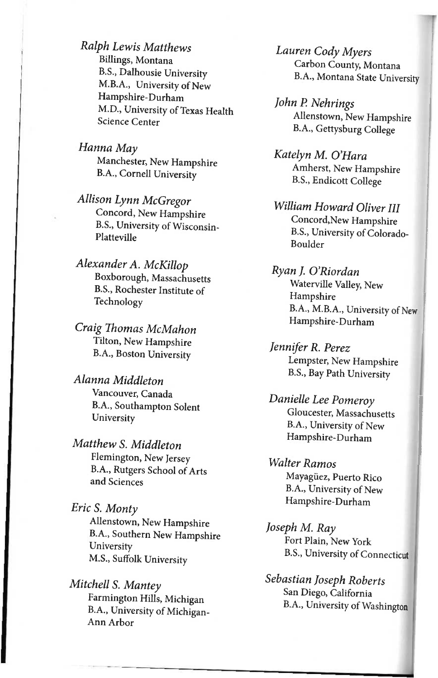*Ralph Lewis Matthews*  Billings, Montana B.S., Dalhousie University M.B.A., University of New Hampshire-Durham M.D., University of Texas Health Science Center

*Hanna May*  Manchester, New Hampshire B.A., Cornell University

*Allison Lynn McGregor*  Concord, New Hampshire B.S., University of Wisconsin-Platteville

*Alexander A. McKillop*  Boxborough, Massachusetts B.S., Rochester Institute of Technology

*Craig Thomas McMahon*  Tilton, New Hampshire B.A., Boston University

*Alanna Middleton*  Vancouver, Canada B.A., Southampton Solent **University** 

*Matthew S. Middleton*  Plemington, New Jersey B.A., Rutgers School of Arts and Sciences

*Eric S. Monty*  Allenstown, New Hampshire B.A., Southern New Hampshire **University** M.S., Suffolk University

*Mitchell S. Mantey*  Farmington Hills, Michigan B.A., University of Michigan-Ann Arbor

*Lauren Cody Myers*  Carbon County, Montana B.A., Montana State University

*John P. Nehrings*  Allenstown, New Hampshire B.A., Gettysburg College

*Katelyn M. O'Hara*  Amherst, New Hampshire B.S., Endicott College

*William Howard Oliver III*  Concord,New Hampshire B.S., University of Colorado-Boulder

*Ryan J. O'Riordan*  Waterville Valley, New Hampshire B.A., M.B.A., University of New Hampshire-Durham

*Jennifer R. Perez*  Lempster, New Hampshire B.S., Bay Path University

*Danielle Lee Pomeroy*  Gloucester, Massachusetts B.A., University of New Hampshire-Durham

*Walter Ramos*  Mayagiiez, Puerto Rico B.A., University of New Hampshire-Durham

*Joseph M. Ray*  Fort Plain, New York B.S., University of Connecticut

*Sebastian Joseph Roberts*  San Diego, California B.A., University of Washington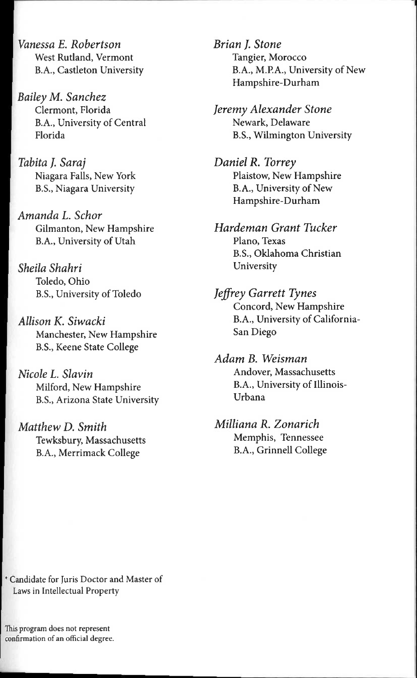*Vanessa E. Robertson*  West Rutland, Vermont B.A., Castleton University

*Bailey M. Sanchez*  Clermont, Florida B.A., University of Central Florida

*Tabita J. Saraj*  Niagara Falls, New York B.S., Niagara University

*Amanda L. Schor*  Gilmanton, New Hampshire B.A., University of Utah

*Sheila Shahri*  Toledo, Ohio B.S., University of Toledo

*Allison K. Siwacki*  Manchester, New Hampshire B.S., Keene State College

*Nicole L. Slavin*  Milford, New Hampshire B.S., Arizona State University

*Matthew D. Smith*  Tewksbury, Massachusetts B.A., Merrimack College

*Brian J. Stone*  Tangier, Morocco B.A., M.RA., University of New Hampshire-Durham

*Jeremy Alexander Stone*  Newark, Delaware B.S., Wilmington University

*Daniel R. Torrey*  Plaistow, New Hampshire B.A., University of New Hampshire-Durham

*Hardeman Grant Tucker*  Piano, Texas B.S., Oklahoma Christian University

*Jeffrey Garrett Tynes*  Concord, New Hampshire B.A., University of California-San Diego

*Adam B. Weisman*  Andover, Massachusetts B.A., University of Illinois-Urbana

*Milliana R. Zonarich*  Memphis, Tennessee B.A., Grinnell College

\* Candidate for Juris Doctor and Master of Laws in Intellectual Property

This program does not represent confirmation of an official degree.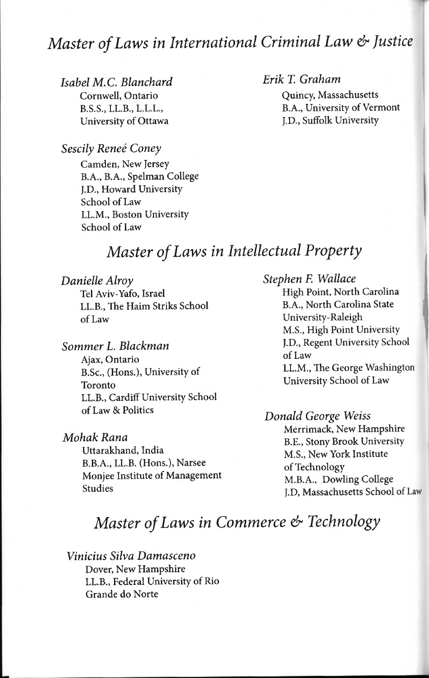### *Master of Laws in International Criminal Law & Justice*

*Isabel M.C. Blanchard*  Cornwell, Ontario B.S.S., LL.B., L.L.L., University of Ottawa

*Erik T. Graham* 

Quincy, Massachusetts B.A., University of Vermont J.D., Suffolk University

#### *Sescily Renee Coney*

Camden, New Jersey B.A., B.A., Spelman College J.D., Howard University School of Law LL.M., Boston University School of Law

### *Master of Laws in Intellectual Property*

*Danielle Alroy*  Tel Aviv-Yafo, Israel LL.B., The Haim Striks School of Law

*Sommer L. Blackman*  Ajax, Ontario B.Sc., (Hons.), University of Toronto LL.B., Cardiff University School of Law & Politics

*Mohak Rana*  Uttarakhand, India B.B.A., LL.B. (Hons.), Narsee Monjee Institute of Management Studies

*Stephen F. Wallace*  High Point, North Carolina B.A., North Carolina State University-Raleigh M.S., High Point University J.D., Regent University School of Law LL.M., The George Washington University School of Law

#### *Donald George Weiss*  Merrimack, New Hampshire B.E., Stony Brook University M.S., New York Institute of Technology M.B.A., Dowling College J.D, Massachusetts School of Law

### *Master of Laws in Commerce & Technology*

*Vinicius Silva Damasceno*  Dover, New Hampshire LL.B., Federal University of Rio Grande do Norte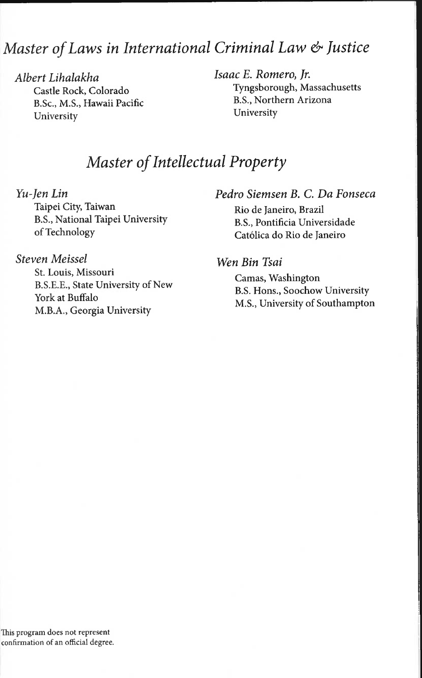### *Master of Laws in International Criminal Law & Justice*

*Albert Lihalakha*  Castle Rock, Colorado B.Sc., M.S., Hawaii Pacific University

*Isaac E. Romero, Jr.*  Tyngsborough, Massachusetts B.S., Northern Arizona University

### *Master of Intellectual Property*

*Yu-Jen Lin* 

Taipei City, Taiwan B.S., National Taipei University of Technology

#### *Steven Meissel*

St. Louis, Missouri B.S.E.E., State University of New York at Buffalo M.B.A., Georgia University

#### *Pedro Siemsen B. C. Da Fonseca*

Rio de Janeiro, Brazil B.S., Pontificia Universidade Catolica do Rio de Janeiro

#### *Wen Bin Tsai*

Camas, Washington B.S. Hons., Soochow University M.S., University of Southampton

This program does not represent confirmation of an official degree.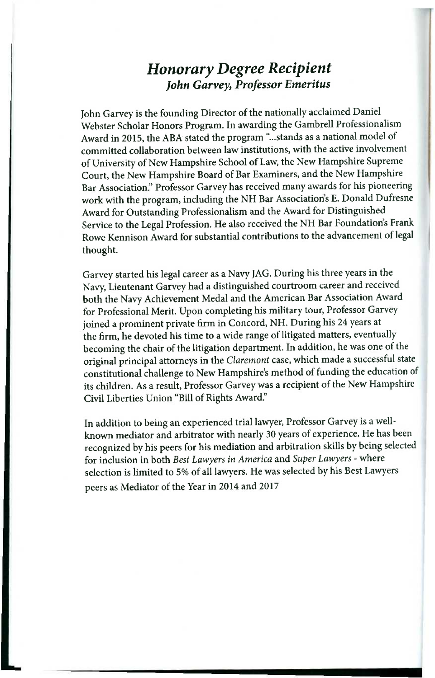### *Honorary Degree Recipient John Garvey, Professor Emeritus*

John Garvey is the founding Director of the nationally acclaimed Daniel Webster Scholar Honors Program. In awarding the Gambrell Professionalism Award in 2015, the ABA stated the program "...stands as a national model of committed collaboration between law institutions, with the active involvement of University of New Hampshire School of Law, the New Hampshire Supreme Court, the New Hampshire Board of Bar Examiners, and the New Hampshire Bar Association." Professor Garvey has received many awards for his pioneering work with the program, including the NH Bar Association's E. Donald Dufresne Award for Outstanding Professionalism and the Award for Distinguished Service to the Legal Profession. He also received the NH Bar Foundation's Frank Rowe Kennison Award for substantial contributions to the advancement of legal thought.

Garvey started his legal career as a Navy JAG. During his three years in the Navy, Lieutenant Garvey had a distinguished courtroom career and received both the Navy Achievement Medal and the American Bar Association Award for Professional Merit. Upon completing his military tour. Professor Garvey joined a prominent private firm in Concord, NH. During his 24 years at the firm, he devoted his time to a wide range of litigated matters, eventually becoming the chair of the litigation department. In addition, he was one of the original principal attorneys in the *Claremont* case, which made a successful state constitutional challenge to New Hampshire's method of funding the education of its children. As a result. Professor Garvey was a recipient of the New Hampshire Civil Liberties Union "Bill of Rights Award."

In addition to being an experienced trial lawyer. Professor Garvey is a wellknown mediator and arbitrator with nearly 30 years of experience. He has been recognized by his peers for his mediation and arbitration skills by being selected for inclusion in both *Best Lawyers in America* and *Super Lawyers -* where selection is limited to 5% of all lawyers. He was selected by his Best Lawyers peers as Mediator of the Year in 2014 and 2017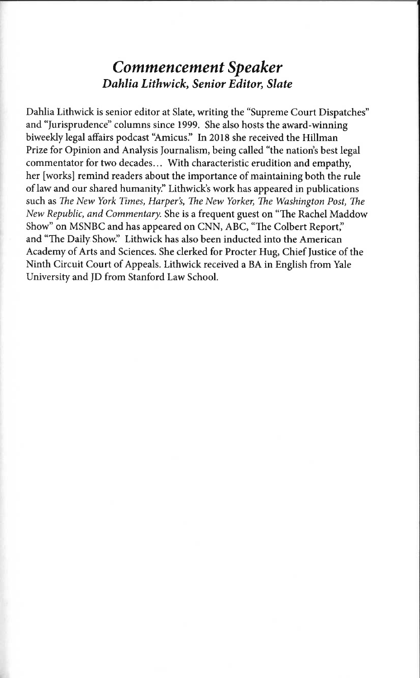### *Commencement Speaker Dahlia Lithwick, Senior Editor, Slate*

Dahlia Lithwick is senior editor at Slate, writing the "Supreme Court Dispatches" and "Jurisprudence" columns since 1999. She also hosts the award-winning biweekly legal affairs podcast "Amicus." In 2018 she received the Hillman Prize for Opinion and Analysis Journalism, being called "the nation's best legal commentator for two decades... With characteristic erudition and empathy, her [works] remind readers about the importance of maintaining both the rule of law and our shared humanity." Lithwick's work has appeared in publications such as *The New York Times, Harper's, The New Yorker, The Washington Post, The New Republic, and Commentary.* She is a frequent guest on "The Rachel Maddow Show" on MSNBC and has appeared on CNN, ABC, "The Colbert Report," and "The Daily Show." Lithwick has also been inducted into the American Academy of Arts and Sciences. She clerked for Procter Hug, Chief Justice of the Ninth Circuit Court of Appeals. Lithwick received a BA in English from Yale University and JD from Stanford Law School.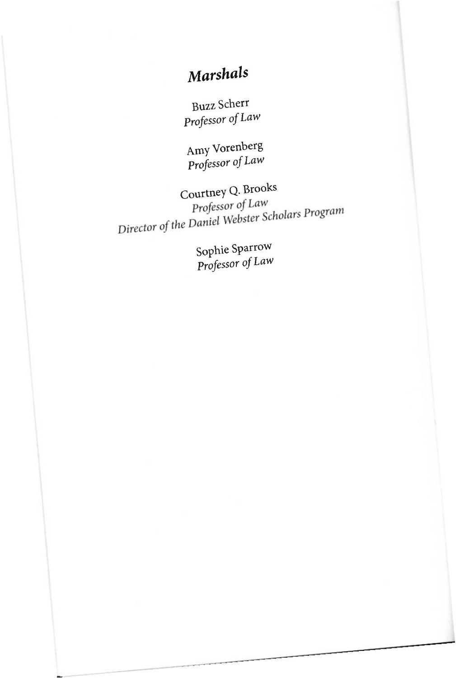# *Marshals*

Buzz Scherr *Professor of Law* 

Amy Vorenberg *Professor of Law* 

Courtney Q**.Brooks**  Professor of Law<br>Director of the Daniel Webster Scholars Program

**Sophie Sparrow**  *Professor of Law*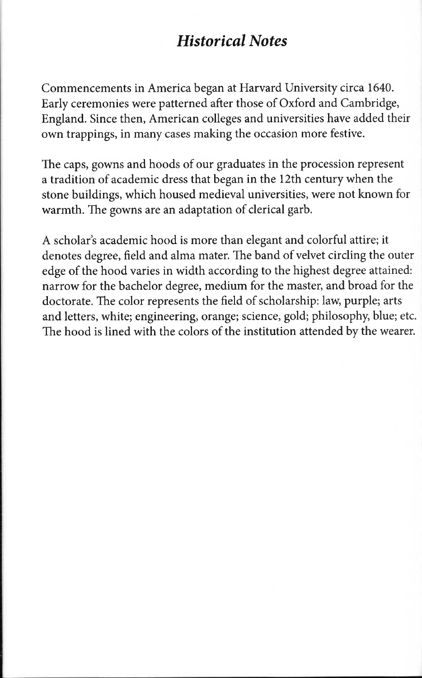### *Historical Notes*

Commencements in America began at Harvard University circa 1640. Early ceremonies were patterned after those of Oxford and Cambridge, England. Since then, American colleges and universities have added their own trappings, in many cases making the occasion more festive.

The caps, gowns and hoods of our graduates in the procession represent a tradition of academic dress that began in the 12th century when the stone buildings, which housed medieval universities, were not known for warmth. The gowns are an adaptation of clerical garb.

A scholar's academic hood is more than elegant and colorful attire; it denotes degree, field and alma mater. The band of velvet circling the outer edge of the hood varies in width according to the highest degree attained: narrow for the bachelor degree, medium for the master, and broad for the doctorate. The color represents the field of scholarship: law, purple; arts and letters, white; engineering, orange; science, gold; philosophy, blue; etc. The hood is lined with the colors of the institution attended by the wearer.